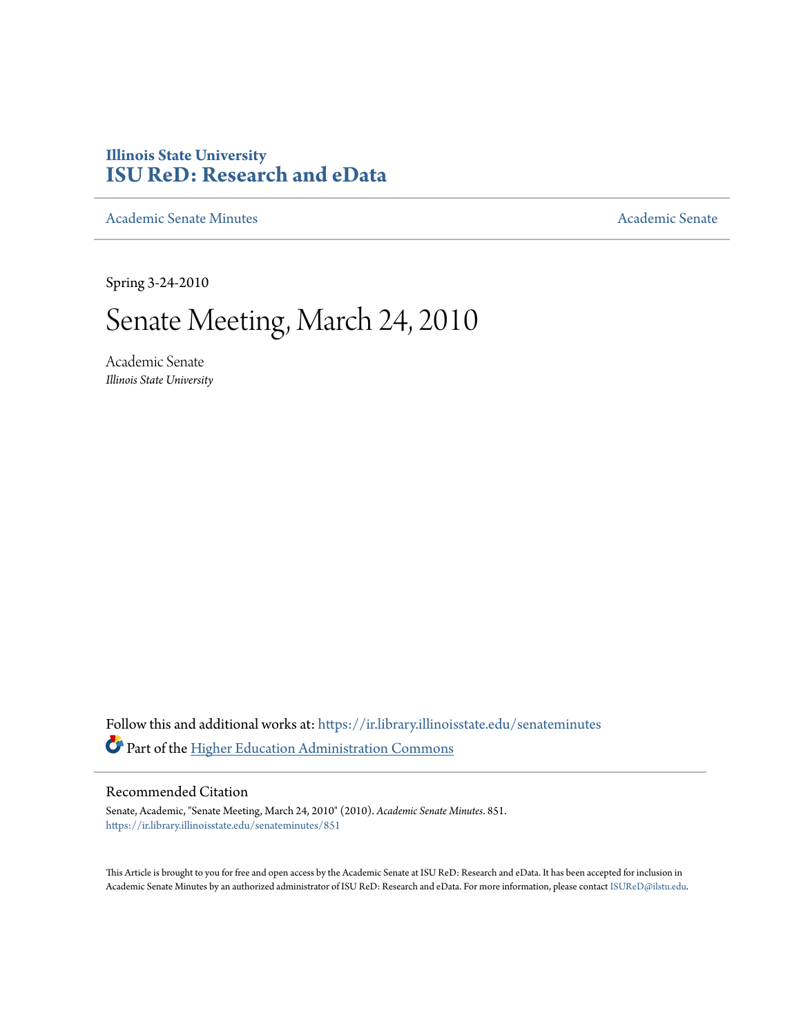## **Illinois State University [ISU ReD: Research and eData](https://ir.library.illinoisstate.edu?utm_source=ir.library.illinoisstate.edu%2Fsenateminutes%2F851&utm_medium=PDF&utm_campaign=PDFCoverPages)**

[Academic Senate Minutes](https://ir.library.illinoisstate.edu/senateminutes?utm_source=ir.library.illinoisstate.edu%2Fsenateminutes%2F851&utm_medium=PDF&utm_campaign=PDFCoverPages) [Academic Senate](https://ir.library.illinoisstate.edu/senate?utm_source=ir.library.illinoisstate.edu%2Fsenateminutes%2F851&utm_medium=PDF&utm_campaign=PDFCoverPages) Academic Senate

Spring 3-24-2010

# Senate Meeting, March 24, 2010

Academic Senate *Illinois State University*

Follow this and additional works at: [https://ir.library.illinoisstate.edu/senateminutes](https://ir.library.illinoisstate.edu/senateminutes?utm_source=ir.library.illinoisstate.edu%2Fsenateminutes%2F851&utm_medium=PDF&utm_campaign=PDFCoverPages) Part of the [Higher Education Administration Commons](http://network.bepress.com/hgg/discipline/791?utm_source=ir.library.illinoisstate.edu%2Fsenateminutes%2F851&utm_medium=PDF&utm_campaign=PDFCoverPages)

#### Recommended Citation

Senate, Academic, "Senate Meeting, March 24, 2010" (2010). *Academic Senate Minutes*. 851. [https://ir.library.illinoisstate.edu/senateminutes/851](https://ir.library.illinoisstate.edu/senateminutes/851?utm_source=ir.library.illinoisstate.edu%2Fsenateminutes%2F851&utm_medium=PDF&utm_campaign=PDFCoverPages)

This Article is brought to you for free and open access by the Academic Senate at ISU ReD: Research and eData. It has been accepted for inclusion in Academic Senate Minutes by an authorized administrator of ISU ReD: Research and eData. For more information, please contact [ISUReD@ilstu.edu.](mailto:ISUReD@ilstu.edu)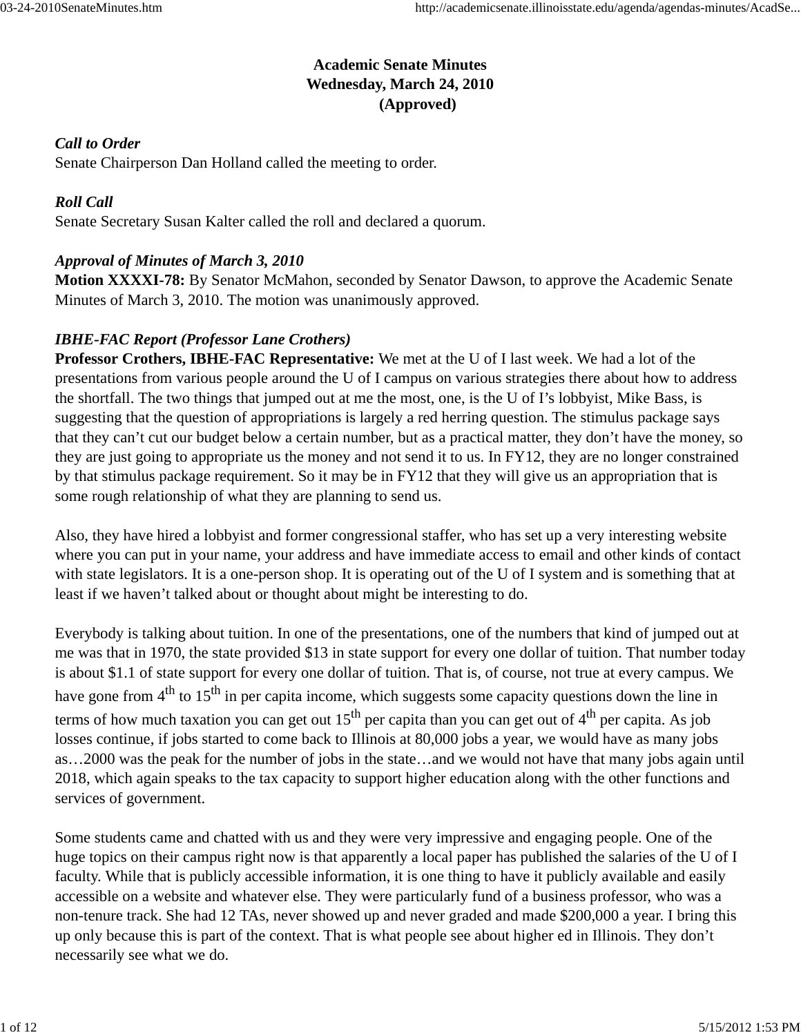## **Academic Senate Minutes Wednesday, March 24, 2010 (Approved)**

## *Call to Order*

Senate Chairperson Dan Holland called the meeting to order.

## *Roll Call*

Senate Secretary Susan Kalter called the roll and declared a quorum.

## *Approval of Minutes of March 3, 2010*

**Motion XXXXI-78:** By Senator McMahon, seconded by Senator Dawson, to approve the Academic Senate Minutes of March 3, 2010. The motion was unanimously approved.

## *IBHE-FAC Report (Professor Lane Crothers)*

**Professor Crothers, IBHE-FAC Representative:** We met at the U of I last week. We had a lot of the presentations from various people around the U of I campus on various strategies there about how to address the shortfall. The two things that jumped out at me the most, one, is the U of I's lobbyist, Mike Bass, is suggesting that the question of appropriations is largely a red herring question. The stimulus package says that they can't cut our budget below a certain number, but as a practical matter, they don't have the money, so they are just going to appropriate us the money and not send it to us. In FY12, they are no longer constrained by that stimulus package requirement. So it may be in FY12 that they will give us an appropriation that is some rough relationship of what they are planning to send us.

Also, they have hired a lobbyist and former congressional staffer, who has set up a very interesting website where you can put in your name, your address and have immediate access to email and other kinds of contact with state legislators. It is a one-person shop. It is operating out of the U of I system and is something that at least if we haven't talked about or thought about might be interesting to do.

Everybody is talking about tuition. In one of the presentations, one of the numbers that kind of jumped out at me was that in 1970, the state provided \$13 in state support for every one dollar of tuition. That number today is about \$1.1 of state support for every one dollar of tuition. That is, of course, not true at every campus. We have gone from  $4<sup>th</sup>$  to  $15<sup>th</sup>$  in per capita income, which suggests some capacity questions down the line in terms of how much taxation you can get out  $15<sup>th</sup>$  per capita than you can get out of  $4<sup>th</sup>$  per capita. As job losses continue, if jobs started to come back to Illinois at 80,000 jobs a year, we would have as many jobs as…2000 was the peak for the number of jobs in the state…and we would not have that many jobs again until 2018, which again speaks to the tax capacity to support higher education along with the other functions and services of government.

Some students came and chatted with us and they were very impressive and engaging people. One of the huge topics on their campus right now is that apparently a local paper has published the salaries of the U of I faculty. While that is publicly accessible information, it is one thing to have it publicly available and easily accessible on a website and whatever else. They were particularly fund of a business professor, who was a non-tenure track. She had 12 TAs, never showed up and never graded and made \$200,000 a year. I bring this up only because this is part of the context. That is what people see about higher ed in Illinois. They don't necessarily see what we do.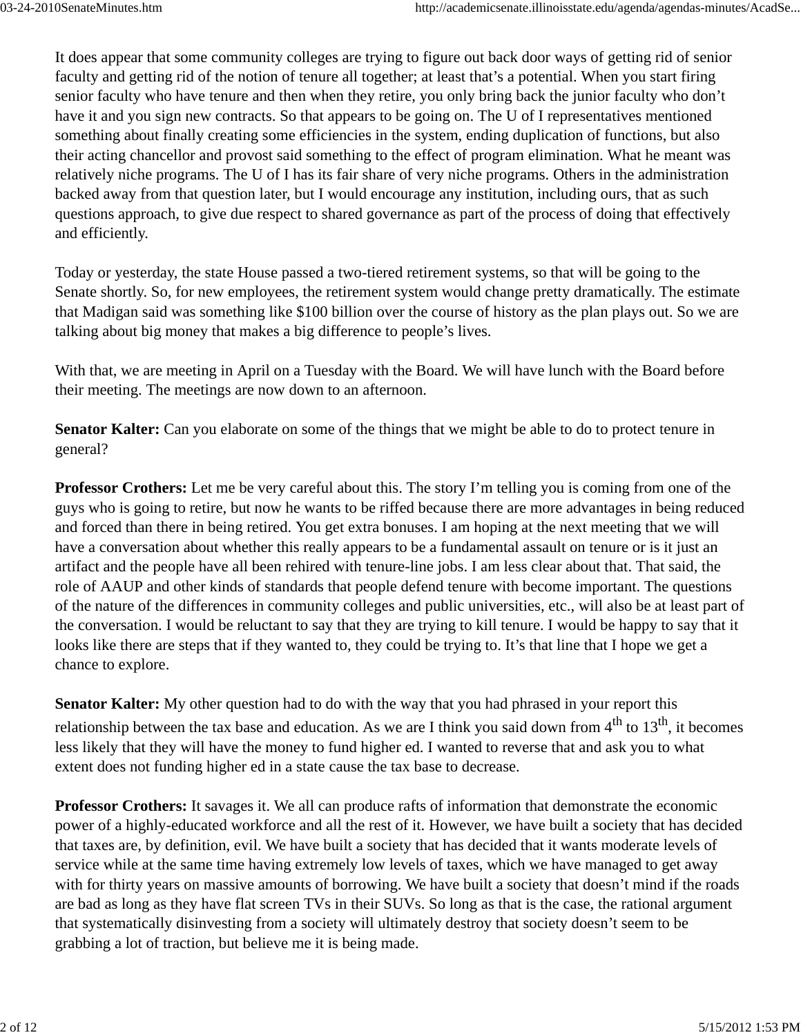It does appear that some community colleges are trying to figure out back door ways of getting rid of senior faculty and getting rid of the notion of tenure all together; at least that's a potential. When you start firing senior faculty who have tenure and then when they retire, you only bring back the junior faculty who don't have it and you sign new contracts. So that appears to be going on. The U of I representatives mentioned something about finally creating some efficiencies in the system, ending duplication of functions, but also their acting chancellor and provost said something to the effect of program elimination. What he meant was relatively niche programs. The U of I has its fair share of very niche programs. Others in the administration backed away from that question later, but I would encourage any institution, including ours, that as such questions approach, to give due respect to shared governance as part of the process of doing that effectively and efficiently.

Today or yesterday, the state House passed a two-tiered retirement systems, so that will be going to the Senate shortly. So, for new employees, the retirement system would change pretty dramatically. The estimate that Madigan said was something like \$100 billion over the course of history as the plan plays out. So we are talking about big money that makes a big difference to people's lives.

With that, we are meeting in April on a Tuesday with the Board. We will have lunch with the Board before their meeting. The meetings are now down to an afternoon.

**Senator Kalter:** Can you elaborate on some of the things that we might be able to do to protect tenure in general?

**Professor Crothers:** Let me be very careful about this. The story I'm telling you is coming from one of the guys who is going to retire, but now he wants to be riffed because there are more advantages in being reduced and forced than there in being retired. You get extra bonuses. I am hoping at the next meeting that we will have a conversation about whether this really appears to be a fundamental assault on tenure or is it just an artifact and the people have all been rehired with tenure-line jobs. I am less clear about that. That said, the role of AAUP and other kinds of standards that people defend tenure with become important. The questions of the nature of the differences in community colleges and public universities, etc., will also be at least part of the conversation. I would be reluctant to say that they are trying to kill tenure. I would be happy to say that it looks like there are steps that if they wanted to, they could be trying to. It's that line that I hope we get a chance to explore.

**Senator Kalter:** My other question had to do with the way that you had phrased in your report this relationship between the tax base and education. As we are I think you said down from  $4^{th}$  to  $13^{th}$ , it becomes less likely that they will have the money to fund higher ed. I wanted to reverse that and ask you to what extent does not funding higher ed in a state cause the tax base to decrease.

**Professor Crothers:** It savages it. We all can produce rafts of information that demonstrate the economic power of a highly-educated workforce and all the rest of it. However, we have built a society that has decided that taxes are, by definition, evil. We have built a society that has decided that it wants moderate levels of service while at the same time having extremely low levels of taxes, which we have managed to get away with for thirty years on massive amounts of borrowing. We have built a society that doesn't mind if the roads are bad as long as they have flat screen TVs in their SUVs. So long as that is the case, the rational argument that systematically disinvesting from a society will ultimately destroy that society doesn't seem to be grabbing a lot of traction, but believe me it is being made.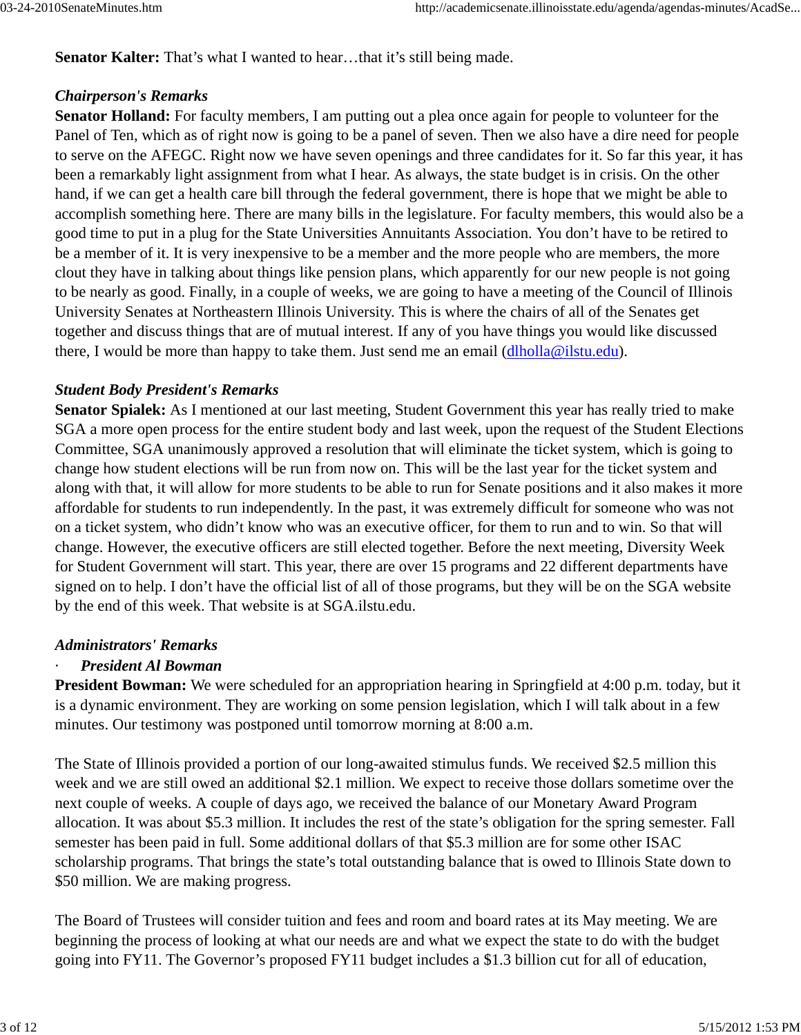**Senator Kalter:** That's what I wanted to hear…that it's still being made.

#### *Chairperson's Remarks*

**Senator Holland:** For faculty members, I am putting out a plea once again for people to volunteer for the Panel of Ten, which as of right now is going to be a panel of seven. Then we also have a dire need for people to serve on the AFEGC. Right now we have seven openings and three candidates for it. So far this year, it has been a remarkably light assignment from what I hear. As always, the state budget is in crisis. On the other hand, if we can get a health care bill through the federal government, there is hope that we might be able to accomplish something here. There are many bills in the legislature. For faculty members, this would also be a good time to put in a plug for the State Universities Annuitants Association. You don't have to be retired to be a member of it. It is very inexpensive to be a member and the more people who are members, the more clout they have in talking about things like pension plans, which apparently for our new people is not going to be nearly as good. Finally, in a couple of weeks, we are going to have a meeting of the Council of Illinois University Senates at Northeastern Illinois University. This is where the chairs of all of the Senates get together and discuss things that are of mutual interest. If any of you have things you would like discussed there, I would be more than happy to take them. Just send me an email (dlholla@ilstu.edu).

#### *Student Body President's Remarks*

**Senator Spialek:** As I mentioned at our last meeting, Student Government this year has really tried to make SGA a more open process for the entire student body and last week, upon the request of the Student Elections Committee, SGA unanimously approved a resolution that will eliminate the ticket system, which is going to change how student elections will be run from now on. This will be the last year for the ticket system and along with that, it will allow for more students to be able to run for Senate positions and it also makes it more affordable for students to run independently. In the past, it was extremely difficult for someone who was not on a ticket system, who didn't know who was an executive officer, for them to run and to win. So that will change. However, the executive officers are still elected together. Before the next meeting, Diversity Week for Student Government will start. This year, there are over 15 programs and 22 different departments have signed on to help. I don't have the official list of all of those programs, but they will be on the SGA website by the end of this week. That website is at SGA.ilstu.edu.

#### *Administrators' Remarks*

### · *President Al Bowman*

**President Bowman:** We were scheduled for an appropriation hearing in Springfield at 4:00 p.m. today, but it is a dynamic environment. They are working on some pension legislation, which I will talk about in a few minutes. Our testimony was postponed until tomorrow morning at 8:00 a.m.

The State of Illinois provided a portion of our long-awaited stimulus funds. We received \$2.5 million this week and we are still owed an additional \$2.1 million. We expect to receive those dollars sometime over the next couple of weeks. A couple of days ago, we received the balance of our Monetary Award Program allocation. It was about \$5.3 million. It includes the rest of the state's obligation for the spring semester. Fall semester has been paid in full. Some additional dollars of that \$5.3 million are for some other ISAC scholarship programs. That brings the state's total outstanding balance that is owed to Illinois State down to \$50 million. We are making progress.

The Board of Trustees will consider tuition and fees and room and board rates at its May meeting. We are beginning the process of looking at what our needs are and what we expect the state to do with the budget going into FY11. The Governor's proposed FY11 budget includes a \$1.3 billion cut for all of education,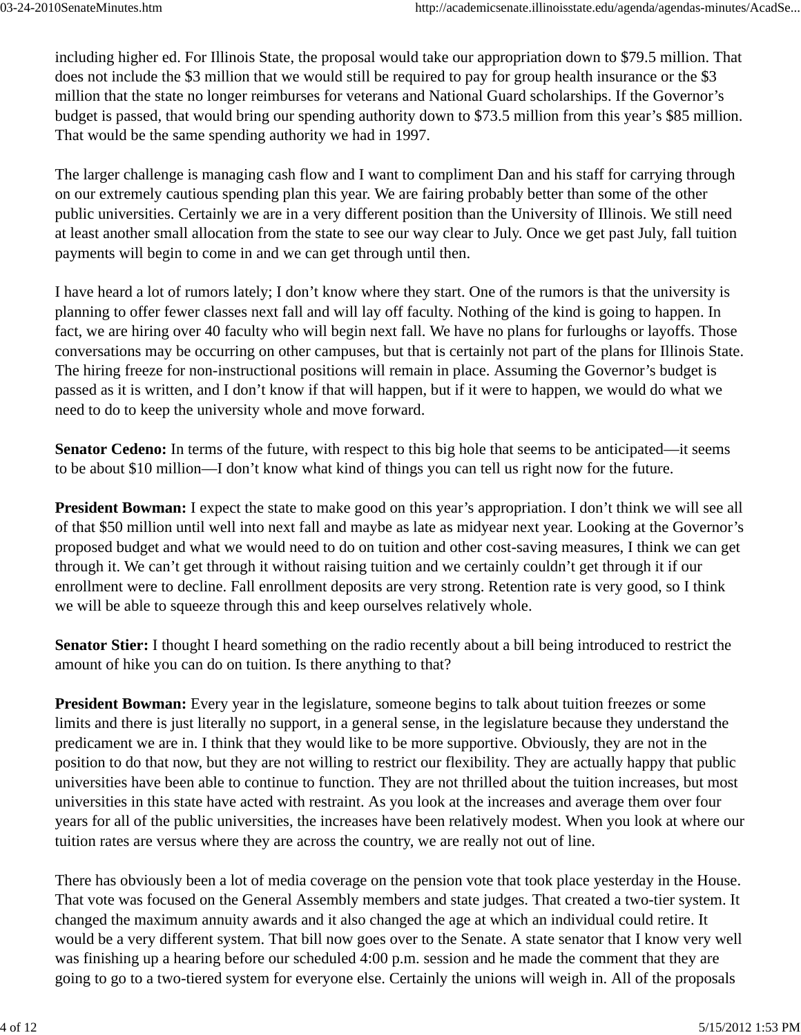including higher ed. For Illinois State, the proposal would take our appropriation down to \$79.5 million. That does not include the \$3 million that we would still be required to pay for group health insurance or the \$3 million that the state no longer reimburses for veterans and National Guard scholarships. If the Governor's budget is passed, that would bring our spending authority down to \$73.5 million from this year's \$85 million. That would be the same spending authority we had in 1997.

The larger challenge is managing cash flow and I want to compliment Dan and his staff for carrying through on our extremely cautious spending plan this year. We are fairing probably better than some of the other public universities. Certainly we are in a very different position than the University of Illinois. We still need at least another small allocation from the state to see our way clear to July. Once we get past July, fall tuition payments will begin to come in and we can get through until then.

I have heard a lot of rumors lately; I don't know where they start. One of the rumors is that the university is planning to offer fewer classes next fall and will lay off faculty. Nothing of the kind is going to happen. In fact, we are hiring over 40 faculty who will begin next fall. We have no plans for furloughs or layoffs. Those conversations may be occurring on other campuses, but that is certainly not part of the plans for Illinois State. The hiring freeze for non-instructional positions will remain in place. Assuming the Governor's budget is passed as it is written, and I don't know if that will happen, but if it were to happen, we would do what we need to do to keep the university whole and move forward.

**Senator Cedeno:** In terms of the future, with respect to this big hole that seems to be anticipated—it seems to be about \$10 million—I don't know what kind of things you can tell us right now for the future.

**President Bowman:** I expect the state to make good on this year's appropriation. I don't think we will see all of that \$50 million until well into next fall and maybe as late as midyear next year. Looking at the Governor's proposed budget and what we would need to do on tuition and other cost-saving measures, I think we can get through it. We can't get through it without raising tuition and we certainly couldn't get through it if our enrollment were to decline. Fall enrollment deposits are very strong. Retention rate is very good, so I think we will be able to squeeze through this and keep ourselves relatively whole.

**Senator Stier:** I thought I heard something on the radio recently about a bill being introduced to restrict the amount of hike you can do on tuition. Is there anything to that?

**President Bowman:** Every year in the legislature, someone begins to talk about tuition freezes or some limits and there is just literally no support, in a general sense, in the legislature because they understand the predicament we are in. I think that they would like to be more supportive. Obviously, they are not in the position to do that now, but they are not willing to restrict our flexibility. They are actually happy that public universities have been able to continue to function. They are not thrilled about the tuition increases, but most universities in this state have acted with restraint. As you look at the increases and average them over four years for all of the public universities, the increases have been relatively modest. When you look at where our tuition rates are versus where they are across the country, we are really not out of line.

There has obviously been a lot of media coverage on the pension vote that took place yesterday in the House. That vote was focused on the General Assembly members and state judges. That created a two-tier system. It changed the maximum annuity awards and it also changed the age at which an individual could retire. It would be a very different system. That bill now goes over to the Senate. A state senator that I know very well was finishing up a hearing before our scheduled 4:00 p.m. session and he made the comment that they are going to go to a two-tiered system for everyone else. Certainly the unions will weigh in. All of the proposals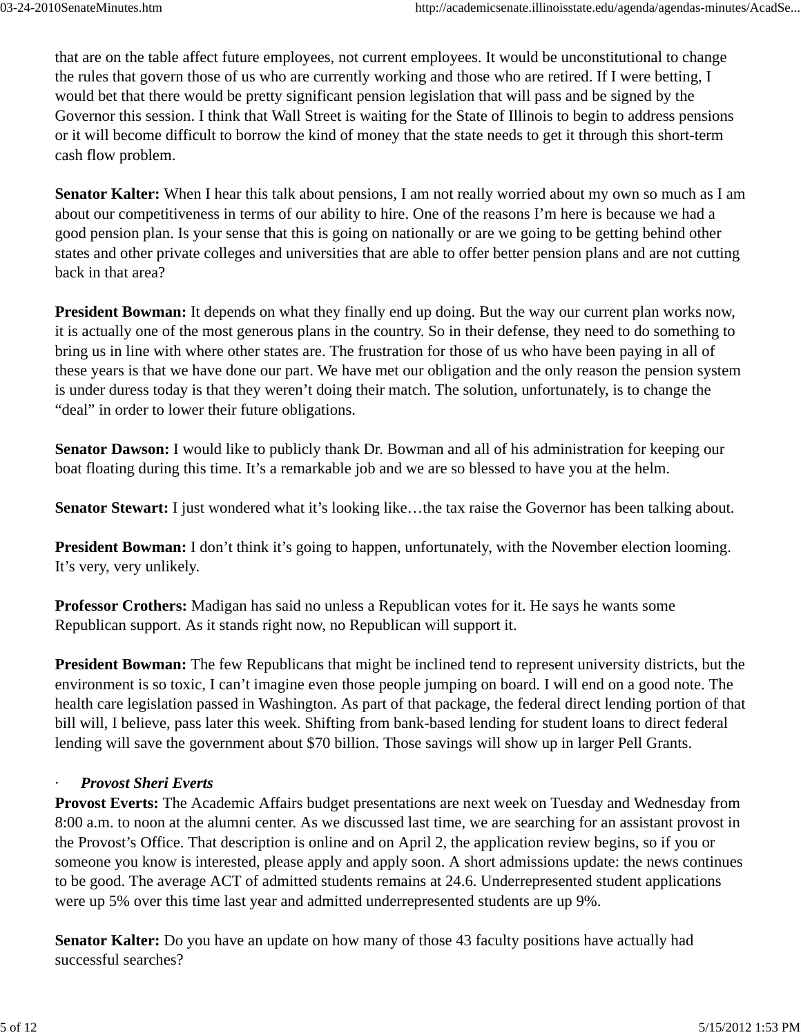that are on the table affect future employees, not current employees. It would be unconstitutional to change the rules that govern those of us who are currently working and those who are retired. If I were betting, I would bet that there would be pretty significant pension legislation that will pass and be signed by the Governor this session. I think that Wall Street is waiting for the State of Illinois to begin to address pensions or it will become difficult to borrow the kind of money that the state needs to get it through this short-term cash flow problem.

**Senator Kalter:** When I hear this talk about pensions, I am not really worried about my own so much as I am about our competitiveness in terms of our ability to hire. One of the reasons I'm here is because we had a good pension plan. Is your sense that this is going on nationally or are we going to be getting behind other states and other private colleges and universities that are able to offer better pension plans and are not cutting back in that area?

**President Bowman:** It depends on what they finally end up doing. But the way our current plan works now, it is actually one of the most generous plans in the country. So in their defense, they need to do something to bring us in line with where other states are. The frustration for those of us who have been paying in all of these years is that we have done our part. We have met our obligation and the only reason the pension system is under duress today is that they weren't doing their match. The solution, unfortunately, is to change the "deal" in order to lower their future obligations.

**Senator Dawson:** I would like to publicly thank Dr. Bowman and all of his administration for keeping our boat floating during this time. It's a remarkable job and we are so blessed to have you at the helm.

**Senator Stewart:** I just wondered what it's looking like…the tax raise the Governor has been talking about.

**President Bowman:** I don't think it's going to happen, unfortunately, with the November election looming. It's very, very unlikely.

**Professor Crothers:** Madigan has said no unless a Republican votes for it. He says he wants some Republican support. As it stands right now, no Republican will support it.

**President Bowman:** The few Republicans that might be inclined tend to represent university districts, but the environment is so toxic, I can't imagine even those people jumping on board. I will end on a good note. The health care legislation passed in Washington. As part of that package, the federal direct lending portion of that bill will, I believe, pass later this week. Shifting from bank-based lending for student loans to direct federal lending will save the government about \$70 billion. Those savings will show up in larger Pell Grants.

## · *Provost Sheri Everts*

**Provost Everts:** The Academic Affairs budget presentations are next week on Tuesday and Wednesday from 8:00 a.m. to noon at the alumni center. As we discussed last time, we are searching for an assistant provost in the Provost's Office. That description is online and on April 2, the application review begins, so if you or someone you know is interested, please apply and apply soon. A short admissions update: the news continues to be good. The average ACT of admitted students remains at 24.6. Underrepresented student applications were up 5% over this time last year and admitted underrepresented students are up 9%.

**Senator Kalter:** Do you have an update on how many of those 43 faculty positions have actually had successful searches?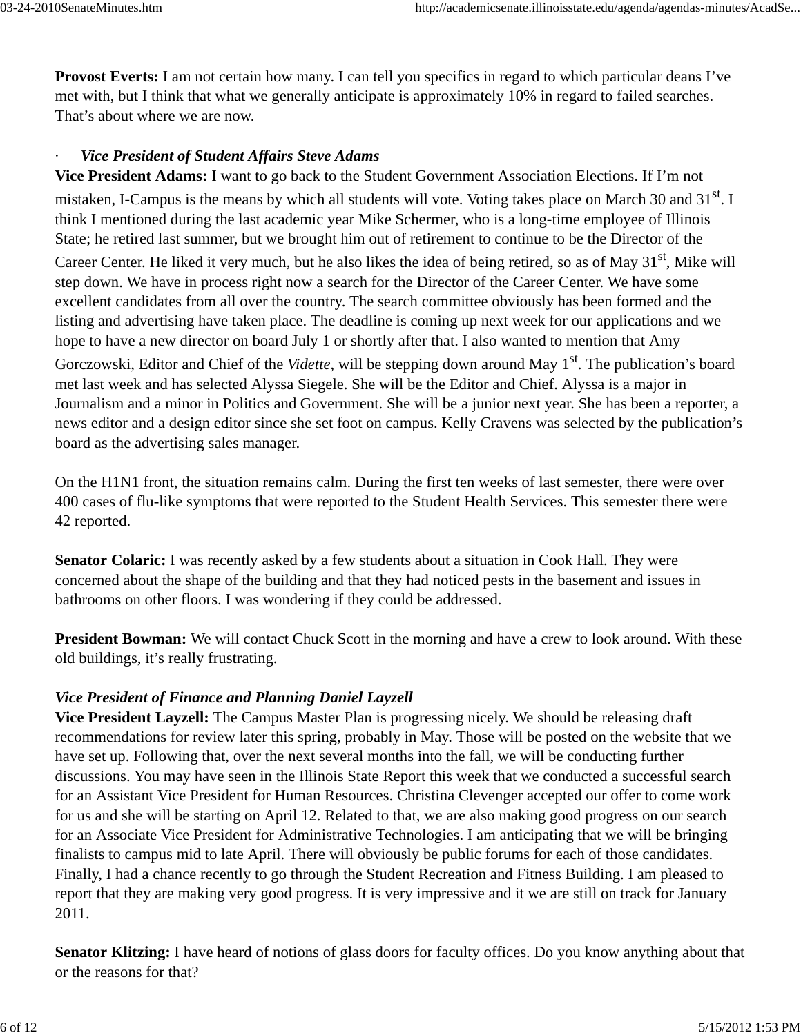**Provost Everts:** I am not certain how many. I can tell you specifics in regard to which particular deans I've met with, but I think that what we generally anticipate is approximately 10% in regard to failed searches. That's about where we are now.

### **Vice President of Student Affairs Steve Adams**

**Vice President Adams:** I want to go back to the Student Government Association Elections. If I'm not mistaken, I-Campus is the means by which all students will vote. Voting takes place on March 30 and 31<sup>st</sup>. I think I mentioned during the last academic year Mike Schermer, who is a long-time employee of Illinois State; he retired last summer, but we brought him out of retirement to continue to be the Director of the

Career Center. He liked it very much, but he also likes the idea of being retired, so as of May 31<sup>st</sup>, Mike will step down. We have in process right now a search for the Director of the Career Center. We have some excellent candidates from all over the country. The search committee obviously has been formed and the listing and advertising have taken place. The deadline is coming up next week for our applications and we hope to have a new director on board July 1 or shortly after that. I also wanted to mention that Amy Gorczowski, Editor and Chief of the *Vidette*, will be stepping down around May 1<sup>st</sup>. The publication's board met last week and has selected Alyssa Siegele. She will be the Editor and Chief. Alyssa is a major in Journalism and a minor in Politics and Government. She will be a junior next year. She has been a reporter, a news editor and a design editor since she set foot on campus. Kelly Cravens was selected by the publication's board as the advertising sales manager.

On the H1N1 front, the situation remains calm. During the first ten weeks of last semester, there were over 400 cases of flu-like symptoms that were reported to the Student Health Services. This semester there were 42 reported.

**Senator Colaric:** I was recently asked by a few students about a situation in Cook Hall. They were concerned about the shape of the building and that they had noticed pests in the basement and issues in bathrooms on other floors. I was wondering if they could be addressed.

**President Bowman:** We will contact Chuck Scott in the morning and have a crew to look around. With these old buildings, it's really frustrating.

### *Vice President of Finance and Planning Daniel Layzell*

**Vice President Layzell:** The Campus Master Plan is progressing nicely. We should be releasing draft recommendations for review later this spring, probably in May. Those will be posted on the website that we have set up. Following that, over the next several months into the fall, we will be conducting further discussions. You may have seen in the Illinois State Report this week that we conducted a successful search for an Assistant Vice President for Human Resources. Christina Clevenger accepted our offer to come work for us and she will be starting on April 12. Related to that, we are also making good progress on our search for an Associate Vice President for Administrative Technologies. I am anticipating that we will be bringing finalists to campus mid to late April. There will obviously be public forums for each of those candidates. Finally, I had a chance recently to go through the Student Recreation and Fitness Building. I am pleased to report that they are making very good progress. It is very impressive and it we are still on track for January 2011.

**Senator Klitzing:** I have heard of notions of glass doors for faculty offices. Do you know anything about that or the reasons for that?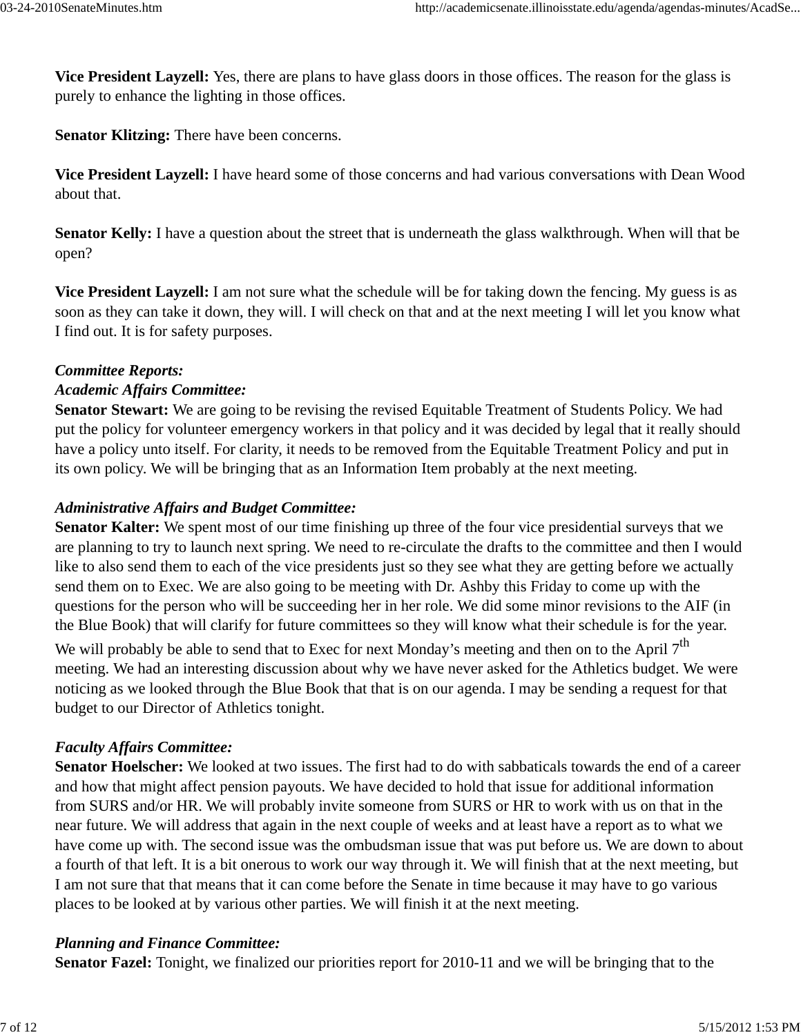**Vice President Layzell:** Yes, there are plans to have glass doors in those offices. The reason for the glass is purely to enhance the lighting in those offices.

**Senator Klitzing:** There have been concerns.

**Vice President Layzell:** I have heard some of those concerns and had various conversations with Dean Wood about that.

**Senator Kelly:** I have a question about the street that is underneath the glass walkthrough. When will that be open?

**Vice President Layzell:** I am not sure what the schedule will be for taking down the fencing. My guess is as soon as they can take it down, they will. I will check on that and at the next meeting I will let you know what I find out. It is for safety purposes.

#### *Committee Reports:*

#### *Academic Affairs Committee:*

**Senator Stewart:** We are going to be revising the revised Equitable Treatment of Students Policy. We had put the policy for volunteer emergency workers in that policy and it was decided by legal that it really should have a policy unto itself. For clarity, it needs to be removed from the Equitable Treatment Policy and put in its own policy. We will be bringing that as an Information Item probably at the next meeting.

#### *Administrative Affairs and Budget Committee:*

**Senator Kalter:** We spent most of our time finishing up three of the four vice presidential surveys that we are planning to try to launch next spring. We need to re-circulate the drafts to the committee and then I would like to also send them to each of the vice presidents just so they see what they are getting before we actually send them on to Exec. We are also going to be meeting with Dr. Ashby this Friday to come up with the questions for the person who will be succeeding her in her role. We did some minor revisions to the AIF (in the Blue Book) that will clarify for future committees so they will know what their schedule is for the year.

We will probably be able to send that to Exec for next Monday's meeting and then on to the April 7<sup>th</sup> meeting. We had an interesting discussion about why we have never asked for the Athletics budget. We were noticing as we looked through the Blue Book that that is on our agenda. I may be sending a request for that budget to our Director of Athletics tonight.

### *Faculty Affairs Committee:*

**Senator Hoelscher:** We looked at two issues. The first had to do with sabbaticals towards the end of a career and how that might affect pension payouts. We have decided to hold that issue for additional information from SURS and/or HR. We will probably invite someone from SURS or HR to work with us on that in the near future. We will address that again in the next couple of weeks and at least have a report as to what we have come up with. The second issue was the ombudsman issue that was put before us. We are down to about a fourth of that left. It is a bit onerous to work our way through it. We will finish that at the next meeting, but I am not sure that that means that it can come before the Senate in time because it may have to go various places to be looked at by various other parties. We will finish it at the next meeting.

#### *Planning and Finance Committee:*

**Senator Fazel:** Tonight, we finalized our priorities report for 2010-11 and we will be bringing that to the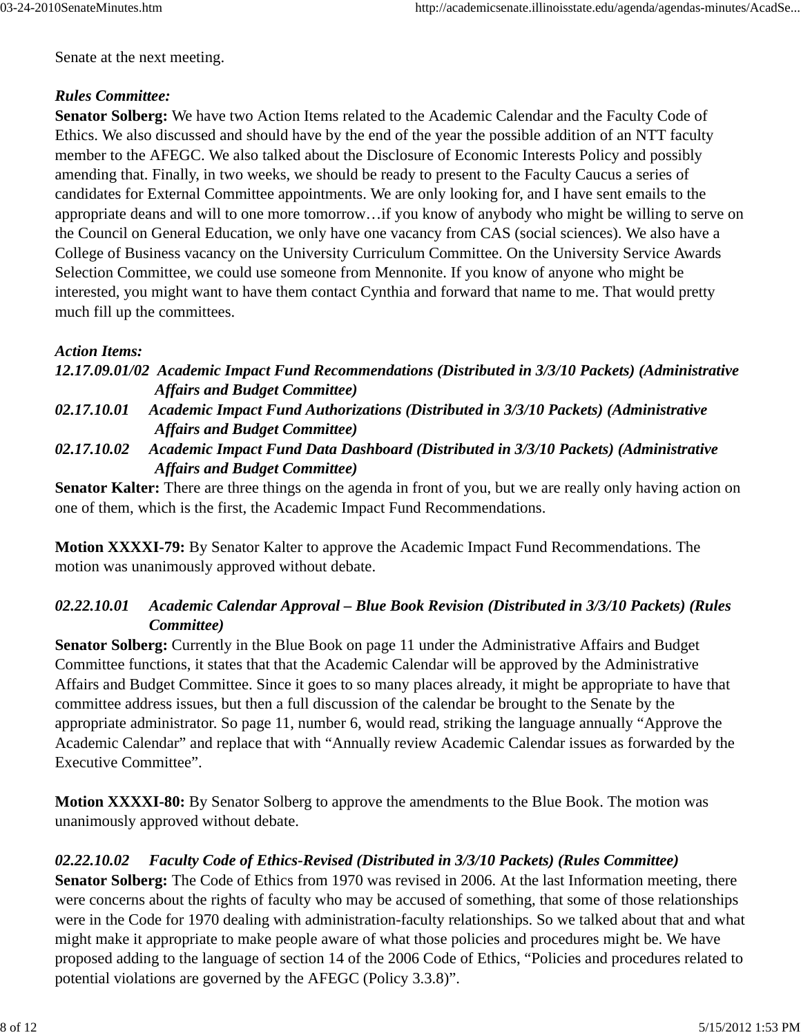Senate at the next meeting.

### *Rules Committee:*

**Senator Solberg:** We have two Action Items related to the Academic Calendar and the Faculty Code of Ethics. We also discussed and should have by the end of the year the possible addition of an NTT faculty member to the AFEGC. We also talked about the Disclosure of Economic Interests Policy and possibly amending that. Finally, in two weeks, we should be ready to present to the Faculty Caucus a series of candidates for External Committee appointments. We are only looking for, and I have sent emails to the appropriate deans and will to one more tomorrow…if you know of anybody who might be willing to serve on the Council on General Education, we only have one vacancy from CAS (social sciences). We also have a College of Business vacancy on the University Curriculum Committee. On the University Service Awards Selection Committee, we could use someone from Mennonite. If you know of anyone who might be interested, you might want to have them contact Cynthia and forward that name to me. That would pretty much fill up the committees.

### *Action Items:*

*12.17.09.01/02 Academic Impact Fund Recommendations (Distributed in 3/3/10 Packets) (Administrative Affairs and Budget Committee)*

*02.17.10.01 Academic Impact Fund Authorizations (Distributed in 3/3/10 Packets) (Administrative Affairs and Budget Committee)*

*02.17.10.02 Academic Impact Fund Data Dashboard (Distributed in 3/3/10 Packets) (Administrative Affairs and Budget Committee)*

**Senator Kalter:** There are three things on the agenda in front of you, but we are really only having action on one of them, which is the first, the Academic Impact Fund Recommendations.

**Motion XXXXI-79:** By Senator Kalter to approve the Academic Impact Fund Recommendations. The motion was unanimously approved without debate.

## *02.22.10.01 Academic Calendar Approval – Blue Book Revision (Distributed in 3/3/10 Packets) (Rules Committee)*

**Senator Solberg:** Currently in the Blue Book on page 11 under the Administrative Affairs and Budget Committee functions, it states that that the Academic Calendar will be approved by the Administrative Affairs and Budget Committee. Since it goes to so many places already, it might be appropriate to have that committee address issues, but then a full discussion of the calendar be brought to the Senate by the appropriate administrator. So page 11, number 6, would read, striking the language annually "Approve the Academic Calendar" and replace that with "Annually review Academic Calendar issues as forwarded by the Executive Committee".

**Motion XXXXI-80:** By Senator Solberg to approve the amendments to the Blue Book. The motion was unanimously approved without debate.

## *02.22.10.02 Faculty Code of Ethics-Revised (Distributed in 3/3/10 Packets) (Rules Committee)*

**Senator Solberg:** The Code of Ethics from 1970 was revised in 2006. At the last Information meeting, there were concerns about the rights of faculty who may be accused of something, that some of those relationships were in the Code for 1970 dealing with administration-faculty relationships. So we talked about that and what might make it appropriate to make people aware of what those policies and procedures might be. We have proposed adding to the language of section 14 of the 2006 Code of Ethics, "Policies and procedures related to potential violations are governed by the AFEGC (Policy 3.3.8)".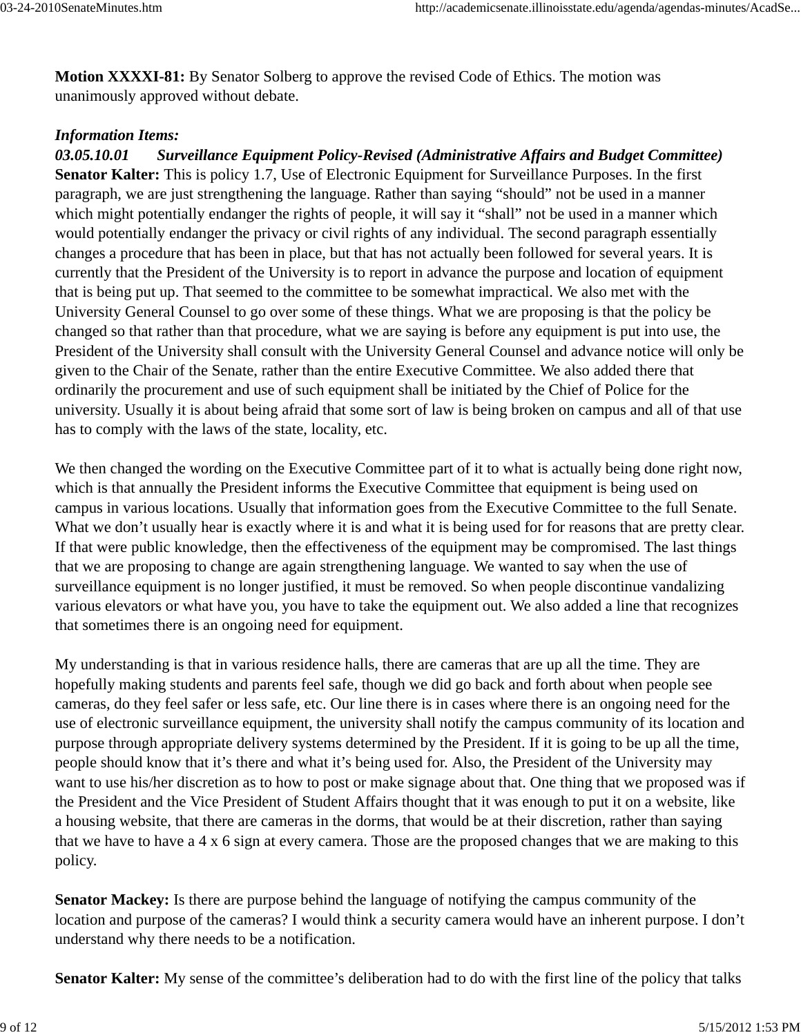**Motion XXXXI-81:** By Senator Solberg to approve the revised Code of Ethics. The motion was unanimously approved without debate.

#### *Information Items:*

*03.05.10.01 Surveillance Equipment Policy-Revised (Administrative Affairs and Budget Committee)* **Senator Kalter:** This is policy 1.7, Use of Electronic Equipment for Surveillance Purposes. In the first paragraph, we are just strengthening the language. Rather than saying "should" not be used in a manner which might potentially endanger the rights of people, it will say it "shall" not be used in a manner which would potentially endanger the privacy or civil rights of any individual. The second paragraph essentially changes a procedure that has been in place, but that has not actually been followed for several years. It is currently that the President of the University is to report in advance the purpose and location of equipment that is being put up. That seemed to the committee to be somewhat impractical. We also met with the University General Counsel to go over some of these things. What we are proposing is that the policy be changed so that rather than that procedure, what we are saying is before any equipment is put into use, the President of the University shall consult with the University General Counsel and advance notice will only be given to the Chair of the Senate, rather than the entire Executive Committee. We also added there that ordinarily the procurement and use of such equipment shall be initiated by the Chief of Police for the university. Usually it is about being afraid that some sort of law is being broken on campus and all of that use has to comply with the laws of the state, locality, etc.

We then changed the wording on the Executive Committee part of it to what is actually being done right now, which is that annually the President informs the Executive Committee that equipment is being used on campus in various locations. Usually that information goes from the Executive Committee to the full Senate. What we don't usually hear is exactly where it is and what it is being used for for reasons that are pretty clear. If that were public knowledge, then the effectiveness of the equipment may be compromised. The last things that we are proposing to change are again strengthening language. We wanted to say when the use of surveillance equipment is no longer justified, it must be removed. So when people discontinue vandalizing various elevators or what have you, you have to take the equipment out. We also added a line that recognizes that sometimes there is an ongoing need for equipment.

My understanding is that in various residence halls, there are cameras that are up all the time. They are hopefully making students and parents feel safe, though we did go back and forth about when people see cameras, do they feel safer or less safe, etc. Our line there is in cases where there is an ongoing need for the use of electronic surveillance equipment, the university shall notify the campus community of its location and purpose through appropriate delivery systems determined by the President. If it is going to be up all the time, people should know that it's there and what it's being used for. Also, the President of the University may want to use his/her discretion as to how to post or make signage about that. One thing that we proposed was if the President and the Vice President of Student Affairs thought that it was enough to put it on a website, like a housing website, that there are cameras in the dorms, that would be at their discretion, rather than saying that we have to have a 4 x 6 sign at every camera. Those are the proposed changes that we are making to this policy.

**Senator Mackey:** Is there are purpose behind the language of notifying the campus community of the location and purpose of the cameras? I would think a security camera would have an inherent purpose. I don't understand why there needs to be a notification.

**Senator Kalter:** My sense of the committee's deliberation had to do with the first line of the policy that talks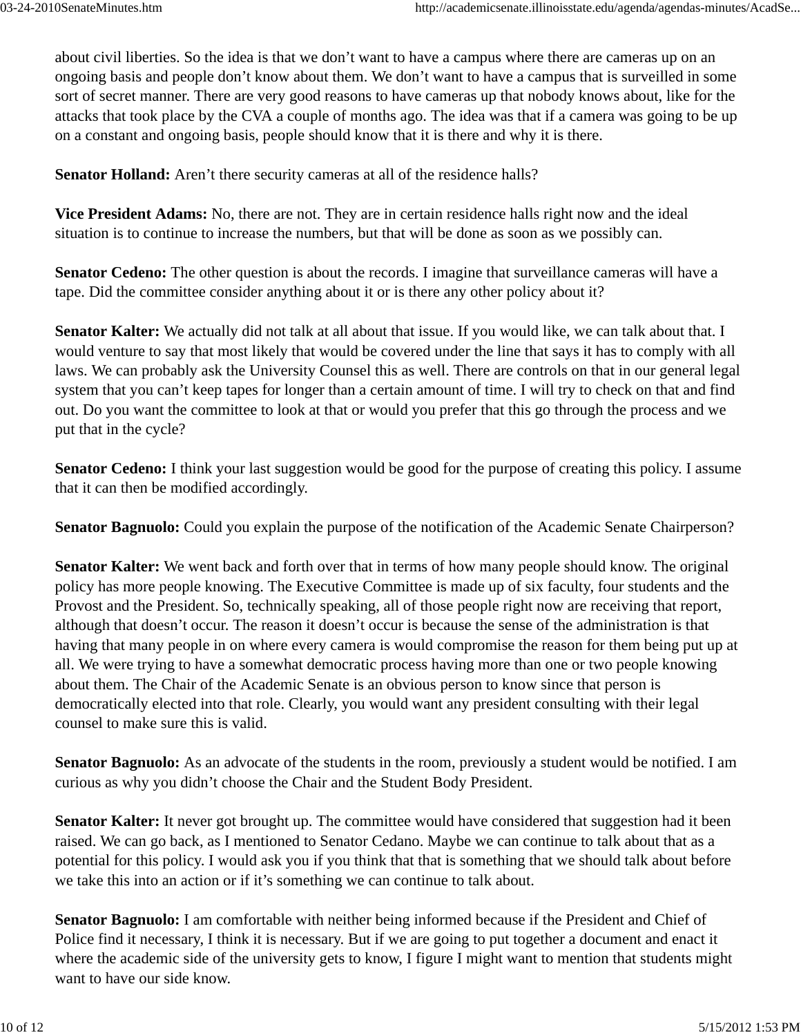about civil liberties. So the idea is that we don't want to have a campus where there are cameras up on an ongoing basis and people don't know about them. We don't want to have a campus that is surveilled in some sort of secret manner. There are very good reasons to have cameras up that nobody knows about, like for the attacks that took place by the CVA a couple of months ago. The idea was that if a camera was going to be up on a constant and ongoing basis, people should know that it is there and why it is there.

**Senator Holland:** Aren't there security cameras at all of the residence halls?

**Vice President Adams:** No, there are not. They are in certain residence halls right now and the ideal situation is to continue to increase the numbers, but that will be done as soon as we possibly can.

**Senator Cedeno:** The other question is about the records. I imagine that surveillance cameras will have a tape. Did the committee consider anything about it or is there any other policy about it?

**Senator Kalter:** We actually did not talk at all about that issue. If you would like, we can talk about that. I would venture to say that most likely that would be covered under the line that says it has to comply with all laws. We can probably ask the University Counsel this as well. There are controls on that in our general legal system that you can't keep tapes for longer than a certain amount of time. I will try to check on that and find out. Do you want the committee to look at that or would you prefer that this go through the process and we put that in the cycle?

**Senator Cedeno:** I think your last suggestion would be good for the purpose of creating this policy. I assume that it can then be modified accordingly.

**Senator Bagnuolo:** Could you explain the purpose of the notification of the Academic Senate Chairperson?

**Senator Kalter:** We went back and forth over that in terms of how many people should know. The original policy has more people knowing. The Executive Committee is made up of six faculty, four students and the Provost and the President. So, technically speaking, all of those people right now are receiving that report, although that doesn't occur. The reason it doesn't occur is because the sense of the administration is that having that many people in on where every camera is would compromise the reason for them being put up at all. We were trying to have a somewhat democratic process having more than one or two people knowing about them. The Chair of the Academic Senate is an obvious person to know since that person is democratically elected into that role. Clearly, you would want any president consulting with their legal counsel to make sure this is valid.

**Senator Bagnuolo:** As an advocate of the students in the room, previously a student would be notified. I am curious as why you didn't choose the Chair and the Student Body President.

**Senator Kalter:** It never got brought up. The committee would have considered that suggestion had it been raised. We can go back, as I mentioned to Senator Cedano. Maybe we can continue to talk about that as a potential for this policy. I would ask you if you think that that is something that we should talk about before we take this into an action or if it's something we can continue to talk about.

**Senator Bagnuolo:** I am comfortable with neither being informed because if the President and Chief of Police find it necessary, I think it is necessary. But if we are going to put together a document and enact it where the academic side of the university gets to know, I figure I might want to mention that students might want to have our side know.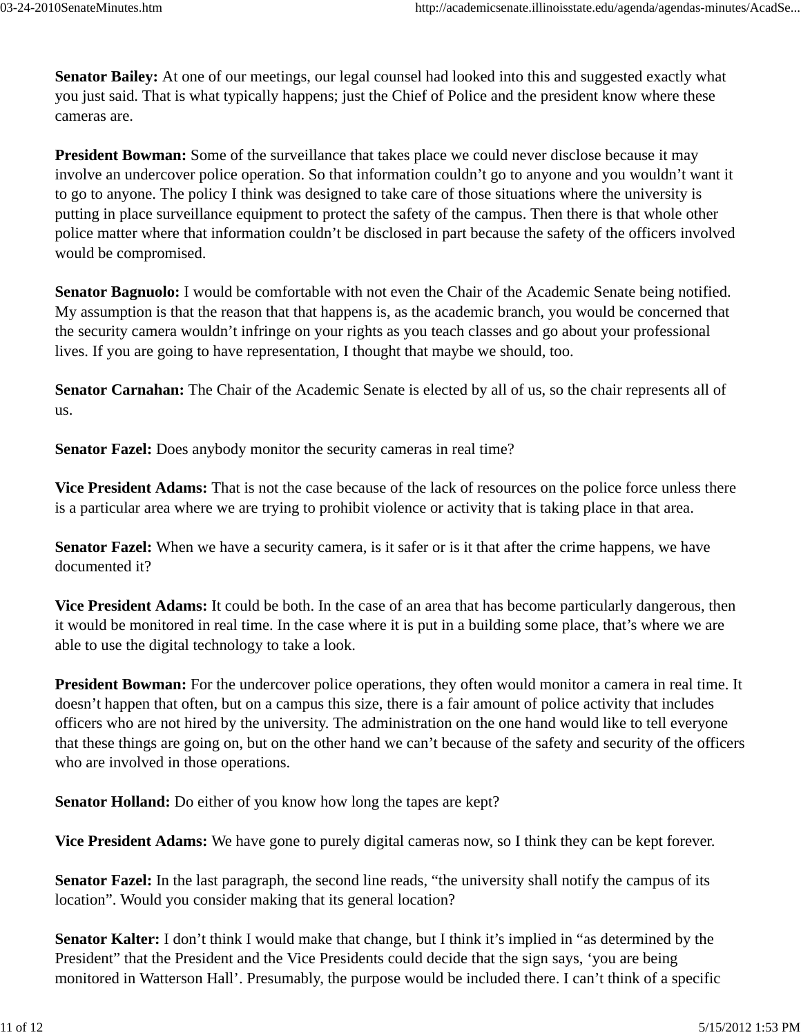**Senator Bailey:** At one of our meetings, our legal counsel had looked into this and suggested exactly what you just said. That is what typically happens; just the Chief of Police and the president know where these cameras are.

**President Bowman:** Some of the surveillance that takes place we could never disclose because it may involve an undercover police operation. So that information couldn't go to anyone and you wouldn't want it to go to anyone. The policy I think was designed to take care of those situations where the university is putting in place surveillance equipment to protect the safety of the campus. Then there is that whole other police matter where that information couldn't be disclosed in part because the safety of the officers involved would be compromised.

**Senator Bagnuolo:** I would be comfortable with not even the Chair of the Academic Senate being notified. My assumption is that the reason that that happens is, as the academic branch, you would be concerned that the security camera wouldn't infringe on your rights as you teach classes and go about your professional lives. If you are going to have representation, I thought that maybe we should, too.

**Senator Carnahan:** The Chair of the Academic Senate is elected by all of us, so the chair represents all of us.

**Senator Fazel:** Does anybody monitor the security cameras in real time?

**Vice President Adams:** That is not the case because of the lack of resources on the police force unless there is a particular area where we are trying to prohibit violence or activity that is taking place in that area.

**Senator Fazel:** When we have a security camera, is it safer or is it that after the crime happens, we have documented it?

**Vice President Adams:** It could be both. In the case of an area that has become particularly dangerous, then it would be monitored in real time. In the case where it is put in a building some place, that's where we are able to use the digital technology to take a look.

**President Bowman:** For the undercover police operations, they often would monitor a camera in real time. It doesn't happen that often, but on a campus this size, there is a fair amount of police activity that includes officers who are not hired by the university. The administration on the one hand would like to tell everyone that these things are going on, but on the other hand we can't because of the safety and security of the officers who are involved in those operations.

**Senator Holland:** Do either of you know how long the tapes are kept?

**Vice President Adams:** We have gone to purely digital cameras now, so I think they can be kept forever.

**Senator Fazel:** In the last paragraph, the second line reads, "the university shall notify the campus of its location". Would you consider making that its general location?

**Senator Kalter:** I don't think I would make that change, but I think it's implied in "as determined by the President" that the President and the Vice Presidents could decide that the sign says, 'you are being monitored in Watterson Hall'. Presumably, the purpose would be included there. I can't think of a specific